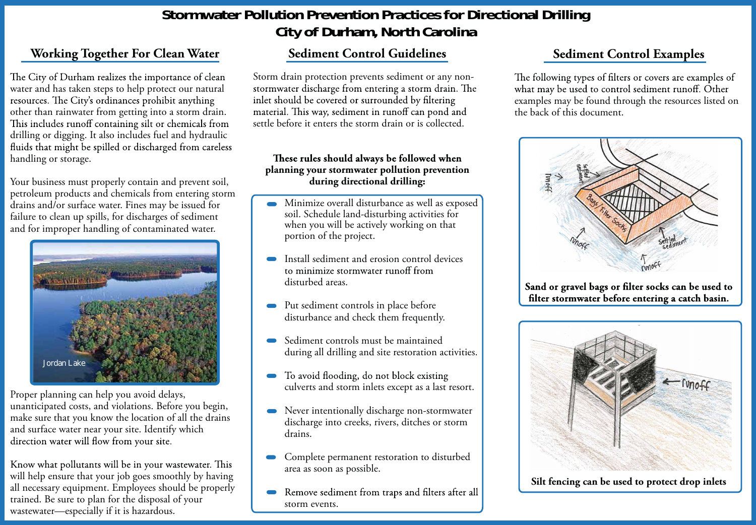# **Working Together For Clean Water**

The City of Durham realizes the importance of clean water and has taken steps to help protect our natural resources. The City's ordinances prohibit anything other than rainwater from getting into a storm drain. This includes runoff containing silt or chemicals from drilling or digging. It also includes fuel and hydraulic<br>fluids that might be spilled or discharged from careless handling or storage.

Your business must properly contain and prevent soil, petroleum products and chemicals from entering storm drains and/or surface water. Fines may be issued for failure to clean up spills, for discharges of sediment and for improper handling of contaminated water.

Proper planning can help you avoid delays, unanticipated costs, and violations. Before you begin, make sure that you know the location of all the drains and surface water near your site. Identify which direction water will flow from your site.

Know what pollutants will be in your wastewater. This will help ensure that your job goes smoothly by having all necessary equipment. Employees should be properly trained. Be sure to plan for the disposal of your wastewater—especially if it is hazardous.

#### These rules should always be followed when **planning your stormwater pollution prevention during directional drilling:**

# **Stormwater Pollution Prevention Practices for Directional Drilling City of Durham, North Carolina**

The following types of filters or covers are examples of what may be used to control sediment runoff. Other examples may be found through the resources listed on the back of this document.



# **Sediment Control Guidelines**

Storm drain protection prevents sediment or any nonstormwater discharge from entering a storm drain. The inlet should be covered or surrounded by filtering material. This way, sediment in runoff can pond and settle before it enters the storm drain or is collected.

- Minimize overall disturbance as well as exposed soil. Schedule land-disturbing activities for when you will be actively working on that portion of the project.
- Install sediment and erosion control devices to minimize stormwater runoff from disturbed areas.
- Put sediment controls in place before disturbance and check them frequently.
- Sediment controls must be maintained during all drilling and site restoration activities.
- To avoid flooding, do not block existing culverts and storm inlets except as a last resort.
- Never intentionally discharge non-stormwater discharge into creeks, rivers, ditches or storm drains.
- Complete permanent restoration to disturbed area as soon as possible.
- Remove sediment from traps and filters after all storm events.



# **Sediment Control Examples**



Sand or gravel bags or filter socks can be used to filter stormwater before entering a catch basin.



**Silt fencing can be used to protect drop inlets**